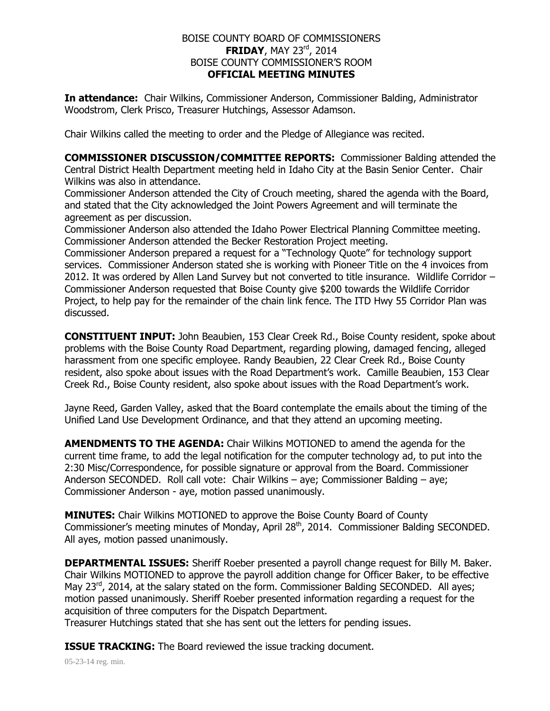## BOISE COUNTY BOARD OF COMMISSIONERS **FRIDAY**, MAY 23<sup>rd</sup>, 2014 BOISE COUNTY COMMISSIONER'S ROOM **OFFICIAL MEETING MINUTES**

**In attendance:** Chair Wilkins, Commissioner Anderson, Commissioner Balding, Administrator Woodstrom, Clerk Prisco, Treasurer Hutchings, Assessor Adamson.

Chair Wilkins called the meeting to order and the Pledge of Allegiance was recited.

**COMMISSIONER DISCUSSION/COMMITTEE REPORTS:** Commissioner Balding attended the Central District Health Department meeting held in Idaho City at the Basin Senior Center. Chair Wilkins was also in attendance.

Commissioner Anderson attended the City of Crouch meeting, shared the agenda with the Board, and stated that the City acknowledged the Joint Powers Agreement and will terminate the agreement as per discussion.

Commissioner Anderson also attended the Idaho Power Electrical Planning Committee meeting. Commissioner Anderson attended the Becker Restoration Project meeting.

Commissioner Anderson prepared a request for a "Technology Quote" for technology support services. Commissioner Anderson stated she is working with Pioneer Title on the 4 invoices from 2012. It was ordered by Allen Land Survey but not converted to title insurance. Wildlife Corridor – Commissioner Anderson requested that Boise County give \$200 towards the Wildlife Corridor Project, to help pay for the remainder of the chain link fence. The ITD Hwy 55 Corridor Plan was discussed.

**CONSTITUENT INPUT:** John Beaubien, 153 Clear Creek Rd., Boise County resident, spoke about problems with the Boise County Road Department, regarding plowing, damaged fencing, alleged harassment from one specific employee. Randy Beaubien, 22 Clear Creek Rd., Boise County resident, also spoke about issues with the Road Department's work. Camille Beaubien, 153 Clear Creek Rd., Boise County resident, also spoke about issues with the Road Department's work.

Jayne Reed, Garden Valley, asked that the Board contemplate the emails about the timing of the Unified Land Use Development Ordinance, and that they attend an upcoming meeting.

**AMENDMENTS TO THE AGENDA:** Chair Wilkins MOTIONED to amend the agenda for the current time frame, to add the legal notification for the computer technology ad, to put into the 2:30 Misc/Correspondence, for possible signature or approval from the Board. Commissioner Anderson SECONDED. Roll call vote: Chair Wilkins – aye; Commissioner Balding – aye; Commissioner Anderson - aye, motion passed unanimously.

**MINUTES:** Chair Wilkins MOTIONED to approve the Boise County Board of County Commissioner's meeting minutes of Monday, April 28<sup>th</sup>, 2014. Commissioner Balding SECONDED. All ayes, motion passed unanimously.

**DEPARTMENTAL ISSUES:** Sheriff Roeber presented a payroll change request for Billy M. Baker. Chair Wilkins MOTIONED to approve the payroll addition change for Officer Baker, to be effective May 23<sup>rd</sup>, 2014, at the salary stated on the form. Commissioner Balding SECONDED. All ayes; motion passed unanimously. Sheriff Roeber presented information regarding a request for the acquisition of three computers for the Dispatch Department.

Treasurer Hutchings stated that she has sent out the letters for pending issues.

**ISSUE TRACKING:** The Board reviewed the issue tracking document.

05-23-14 reg. min.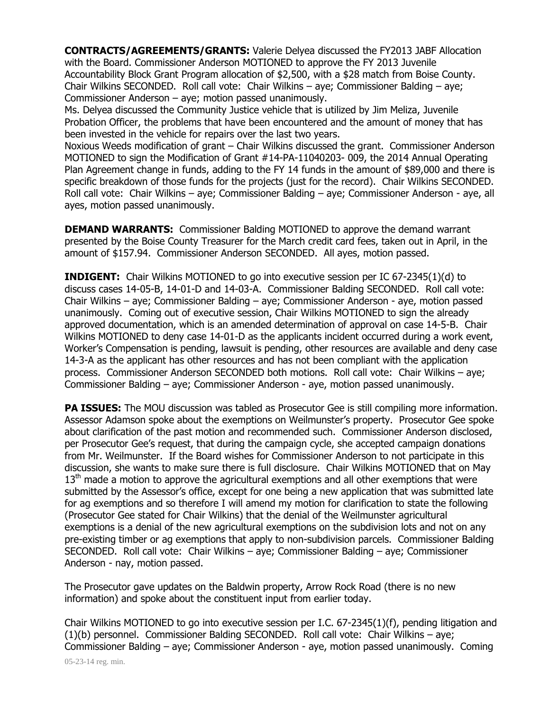**CONTRACTS/AGREEMENTS/GRANTS:** Valerie Delyea discussed the FY2013 JABF Allocation with the Board. Commissioner Anderson MOTIONED to approve the FY 2013 Juvenile Accountability Block Grant Program allocation of \$2,500, with a \$28 match from Boise County. Chair Wilkins SECONDED. Roll call vote: Chair Wilkins – aye; Commissioner Balding – aye; Commissioner Anderson – aye; motion passed unanimously.

Ms. Delyea discussed the Community Justice vehicle that is utilized by Jim Meliza, Juvenile Probation Officer, the problems that have been encountered and the amount of money that has been invested in the vehicle for repairs over the last two years.

Noxious Weeds modification of grant – Chair Wilkins discussed the grant. Commissioner Anderson MOTIONED to sign the Modification of Grant #14-PA-11040203- 009, the 2014 Annual Operating Plan Agreement change in funds, adding to the FY 14 funds in the amount of \$89,000 and there is specific breakdown of those funds for the projects (just for the record). Chair Wilkins SECONDED. Roll call vote: Chair Wilkins – aye; Commissioner Balding – aye; Commissioner Anderson - aye, all ayes, motion passed unanimously.

**DEMAND WARRANTS:** Commissioner Balding MOTIONED to approve the demand warrant presented by the Boise County Treasurer for the March credit card fees, taken out in April, in the amount of \$157.94. Commissioner Anderson SECONDED. All ayes, motion passed.

**INDIGENT:** Chair Wilkins MOTIONED to go into executive session per IC 67-2345(1)(d) to discuss cases 14-05-B, 14-01-D and 14-03-A. Commissioner Balding SECONDED. Roll call vote: Chair Wilkins – aye; Commissioner Balding – aye; Commissioner Anderson - aye, motion passed unanimously. Coming out of executive session, Chair Wilkins MOTIONED to sign the already approved documentation, which is an amended determination of approval on case 14-5-B. Chair Wilkins MOTIONED to deny case 14-01-D as the applicants incident occurred during a work event, Worker's Compensation is pending, lawsuit is pending, other resources are available and deny case 14-3-A as the applicant has other resources and has not been compliant with the application process. Commissioner Anderson SECONDED both motions. Roll call vote: Chair Wilkins – aye; Commissioner Balding – aye; Commissioner Anderson - aye, motion passed unanimously.

**PA ISSUES:** The MOU discussion was tabled as Prosecutor Gee is still compiling more information. Assessor Adamson spoke about the exemptions on Weilmunster's property. Prosecutor Gee spoke about clarification of the past motion and recommended such. Commissioner Anderson disclosed, per Prosecutor Gee's request, that during the campaign cycle, she accepted campaign donations from Mr. Weilmunster. If the Board wishes for Commissioner Anderson to not participate in this discussion, she wants to make sure there is full disclosure. Chair Wilkins MOTIONED that on May  $13<sup>th</sup>$  made a motion to approve the agricultural exemptions and all other exemptions that were submitted by the Assessor's office, except for one being a new application that was submitted late for ag exemptions and so therefore I will amend my motion for clarification to state the following (Prosecutor Gee stated for Chair Wilkins) that the denial of the Weilmunster agricultural exemptions is a denial of the new agricultural exemptions on the subdivision lots and not on any pre-existing timber or ag exemptions that apply to non-subdivision parcels. Commissioner Balding SECONDED. Roll call vote: Chair Wilkins – aye; Commissioner Balding – aye; Commissioner Anderson - nay, motion passed.

The Prosecutor gave updates on the Baldwin property, Arrow Rock Road (there is no new information) and spoke about the constituent input from earlier today.

Chair Wilkins MOTIONED to go into executive session per I.C. 67-2345(1)(f), pending litigation and (1)(b) personnel. Commissioner Balding SECONDED. Roll call vote: Chair Wilkins – aye; Commissioner Balding – aye; Commissioner Anderson - aye, motion passed unanimously. Coming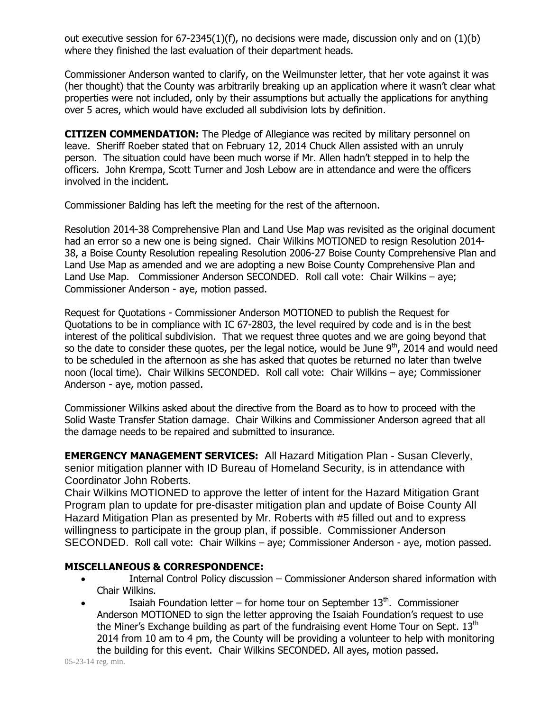out executive session for 67-2345(1)(f), no decisions were made, discussion only and on (1)(b) where they finished the last evaluation of their department heads.

Commissioner Anderson wanted to clarify, on the Weilmunster letter, that her vote against it was (her thought) that the County was arbitrarily breaking up an application where it wasn't clear what properties were not included, only by their assumptions but actually the applications for anything over 5 acres, which would have excluded all subdivision lots by definition.

**CITIZEN COMMENDATION:** The Pledge of Allegiance was recited by military personnel on leave. Sheriff Roeber stated that on February 12, 2014 Chuck Allen assisted with an unruly person. The situation could have been much worse if Mr. Allen hadn't stepped in to help the officers. John Krempa, Scott Turner and Josh Lebow are in attendance and were the officers involved in the incident.

Commissioner Balding has left the meeting for the rest of the afternoon.

Resolution 2014-38 Comprehensive Plan and Land Use Map was revisited as the original document had an error so a new one is being signed. Chair Wilkins MOTIONED to resign Resolution 2014- 38, a Boise County Resolution repealing Resolution 2006-27 Boise County Comprehensive Plan and Land Use Map as amended and we are adopting a new Boise County Comprehensive Plan and Land Use Map. Commissioner Anderson SECONDED. Roll call vote: Chair Wilkins – aye; Commissioner Anderson - aye, motion passed.

Request for Quotations - Commissioner Anderson MOTIONED to publish the Request for Quotations to be in compliance with IC 67-2803, the level required by code and is in the best interest of the political subdivision. That we request three quotes and we are going beyond that so the date to consider these quotes, per the legal notice, would be June  $9<sup>th</sup>$ , 2014 and would need to be scheduled in the afternoon as she has asked that quotes be returned no later than twelve noon (local time). Chair Wilkins SECONDED. Roll call vote: Chair Wilkins – aye; Commissioner Anderson - aye, motion passed.

Commissioner Wilkins asked about the directive from the Board as to how to proceed with the Solid Waste Transfer Station damage. Chair Wilkins and Commissioner Anderson agreed that all the damage needs to be repaired and submitted to insurance.

**EMERGENCY MANAGEMENT SERVICES:** All Hazard Mitigation Plan - Susan Cleverly, senior mitigation planner with ID Bureau of Homeland Security, is in attendance with Coordinator John Roberts.

Chair Wilkins MOTIONED to approve the letter of intent for the Hazard Mitigation Grant Program plan to update for pre-disaster mitigation plan and update of Boise County All Hazard Mitigation Plan as presented by Mr. Roberts with #5 filled out and to express willingness to participate in the group plan, if possible. Commissioner Anderson SECONDED. Roll call vote: Chair Wilkins – aye; Commissioner Anderson - aye, motion passed.

## **MISCELLANEOUS & CORRESPONDENCE:**

- Internal Control Policy discussion Commissioner Anderson shared information with Chair Wilkins.
- Isaiah Foundation letter for home tour on September  $13<sup>th</sup>$ . Commissioner Anderson MOTIONED to sign the letter approving the Isaiah Foundation's request to use the Miner's Exchange building as part of the fundraising event Home Tour on Sept.  $13<sup>th</sup>$ 2014 from 10 am to 4 pm, the County will be providing a volunteer to help with monitoring the building for this event. Chair Wilkins SECONDED. All ayes, motion passed.